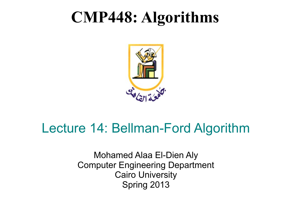## **CMP448: Algorithms**



#### Lecture 14: Bellman-Ford Algorithm

Mohamed Alaa El-Dien Aly Computer Engineering Department Cairo University Spring 2013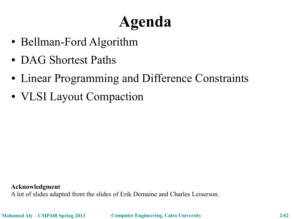# **Agenda**

- Bellman-Ford Algorithm
- DAG Shortest Paths
- Linear Programming and Difference Constraints
- VLSI Layout Compaction

**Acknowledgment**

A lot of slides adapted from the slides of Erik Demaine and Charles Leiserson.

**Mohamed Aly – CMP448 Spring 2013 Computer Engineering, Cairo University 2/62**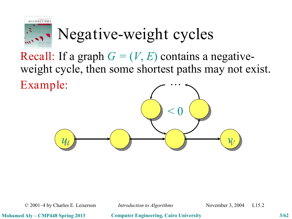

# Negative-weight cycles

Recall: If a graph  $G = (V, E)$  contains a negativeweight cycle, then some shortest paths may not exist. Example: …



© 2001–4 by Charles E. Leiserson *Introduction to Algorithms* November 3, 2004 L15.2

**Mohamed Aly – CMP448 Spring 2013 Computer Engineering, Cairo University 3/62**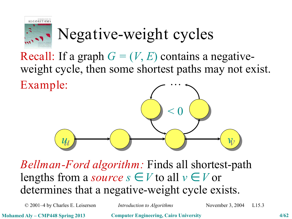

# Negative-weight cycles

Recall: If a graph  $G = (V, E)$  contains a negativeweight cycle, then some shortest paths may not exist. Example: …



*Bellman-Ford algorithm:* Finds all shortest-path lengths from a *source*  $s \in V$  to all  $v \in V$  or determines that a negative-weight cycle exists.

© 2001–4 by Charles E. Leiserson *Introduction to Algorithms* November 3, 2004 L15.3

**Mohamed Aly – CMP448 Spring 2013 Computer Engineering, Cairo University 4/62**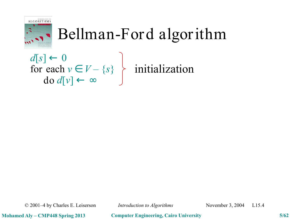

## Bellman-Ford algorithm

 $d[s] \leftarrow 0$ for each  $v \in V - \{s\}$ do *d*[*v*] ← ∞ initialization

© 2001–4 by Charles E. Leiserson *Introduction to Algorithms* November 3, 2004 L15.4

**Mohamed Aly – CMP448 Spring 2013 Computer Engineering, Cairo University 5/62**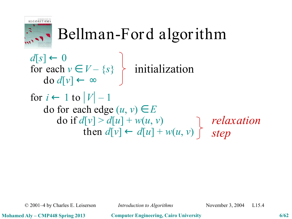

## Bellman-Ford algorithm

 $d[s] \leftarrow 0$ for each  $v \in V - \{s\}$ do *d*[*v*] ← ∞ for  $i \leftarrow 1$  to  $|V| - 1$ do for each edge  $(u, v) \in E$  $d\sigma$  if  $d[v] > d[u] + w(u, v)$  $d[v] \leftarrow d[u] + w(u, v)$ initialization *relaxation step*

© 2001–4 by Charles E. Leiserson *Introduction to Algorithms* November 3, 2004 L15.4

**Mohamed Aly – CMP448 Spring 2013 Computer Engineering, Cairo University 6/62**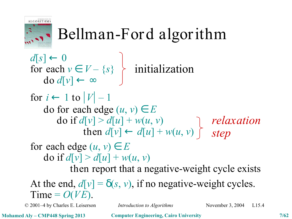

## Bellman-Ford algorithm

© 2001–4 by Charles E. Leiserson *Introduction to Algorithms* November 3, 2004 L15.4  $d[s] \leftarrow 0$ for each  $v \in V - \{s\}$ do *d*[*v*] ← ∞ for  $i \leftarrow 1$  to  $|V| - 1$ do for each edge  $(u, v) \in E$  $d\sigma$  if  $d[v] > d[u] + w(u, v)$  $d[v] \leftarrow d[u] + w(u, v)$ for each edge  $(u, v) \in E$  $d\sigma$  if  $d[\nu] > d[u] + w(u, \nu)$ then report that a negative-weight cycle exists initialization At the end,  $d[v] = \delta(s, v)$ , if no negative-weight cycles. Time =  $O(VE)$ . *relaxation step*

**Mohamed Aly – CMP448 Spring 2013 Computer Engineering, Cairo University 7/62**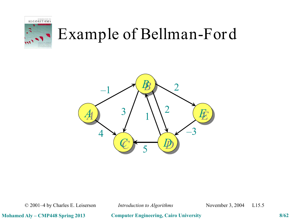



© 2001–4 by Charles E. Leiserson *Introduction to Algorithms* November 3, 2004 L15.5

**Mohamed Aly – CMP448 Spring 2013 Computer Engineering, Cairo University 8/62**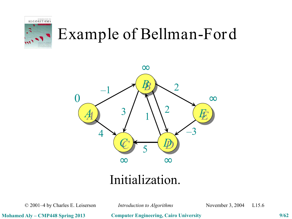



#### Initialization.

© 2001–4 by Charles E. Leiserson *Introduction to Algorithms* November 3, 2004 L15.6

**Mohamed Aly – CMP448 Spring 2013 Computer Engineering, Cairo University 9/62**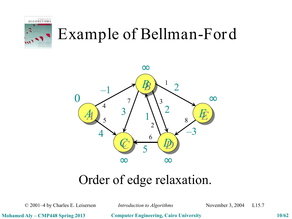



#### Order of edge relaxation.

© 2001–4 by Charles E. Leiserson *Introduction to Algorithms* November 3, 2004 L15.7

**Mohamed Aly – CMP448 Spring 2013 Computer Engineering, Cairo University 10/62**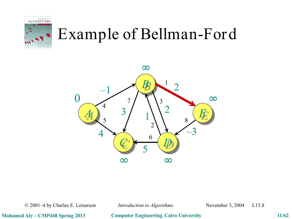



© 2001–4 by Charles E. Leiserson *Introduction to Algorithms* November 3, 2004 L15.8

**Mohamed Aly – CMP448 Spring 2013 Computer Engineering, Cairo University 11/62**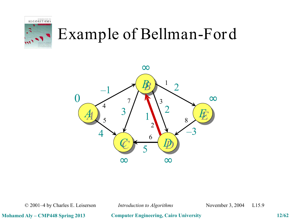



© 2001–4 by Charles E. Leiserson *Introduction to Algorithms* November 3, 2004 L15.9

**Mohamed Aly – CMP448 Spring 2013 Computer Engineering, Cairo University 12/62**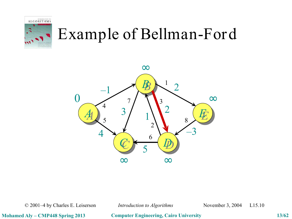



© 2001–4 by Charles E. Leiserson *Introduction to Algorithms* November 3, 2004 L15.10

**Mohamed Aly – CMP448 Spring 2013 Computer Engineering, Cairo University 13/62**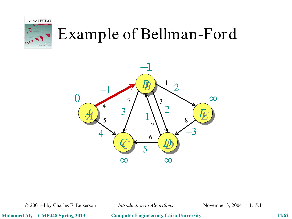



© 2001–4 by Charles E. Leiserson *Introduction to Algorithms* November 3, 2004 L15.11

**Mohamed Aly – CMP448 Spring 2013 Computer Engineering, Cairo University 14/62**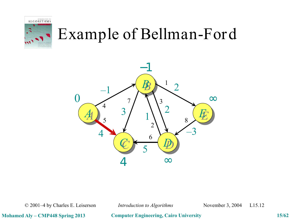



© 2001–4 by Charles E. Leiserson *Introduction to Algorithms* November 3, 2004 L15.12

**Mohamed Aly – CMP448 Spring 2013 Computer Engineering, Cairo University 15/62**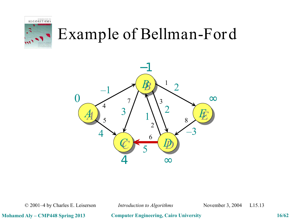



© 2001–4 by Charles E. Leiserson *Introduction to Algorithms* November 3, 2004 L15.13

**Mohamed Aly – CMP448 Spring 2013 Computer Engineering, Cairo University 16/62**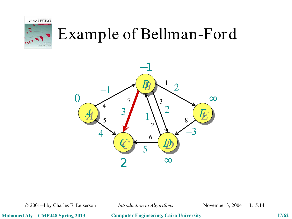



© 2001–4 by Charles E. Leiserson *Introduction to Algorithms* November 3, 2004 L15.14

**Mohamed Aly – CMP448 Spring 2013 Computer Engineering, Cairo University 17/62**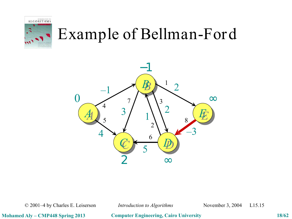



© 2001–4 by Charles E. Leiserson *Introduction to Algorithms* November 3, 2004 L15.15

**Mohamed Aly – CMP448 Spring 2013 Computer Engineering, Cairo University 18/62**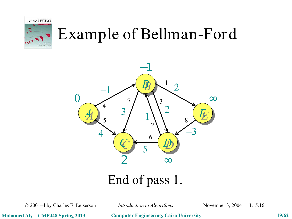



© 2001–4 by Charles E. Leiserson *Introduction to Algorithms* November 3, 2004 L15.16

**Mohamed Aly – CMP448 Spring 2013 Computer Engineering, Cairo University 19/62**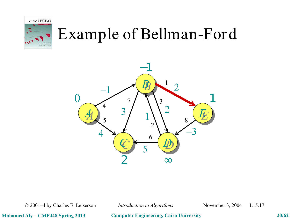



© 2001–4 by Charles E. Leiserson *Introduction to Algorithms* November 3, 2004 L15.17

**Mohamed Aly – CMP448 Spring 2013 Computer Engineering, Cairo University 20/62**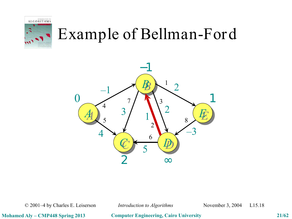



© 2001–4 by Charles E. Leiserson *Introduction to Algorithms* November 3, 2004 L15.18

**Mohamed Aly – CMP448 Spring 2013 Computer Engineering, Cairo University 21/62**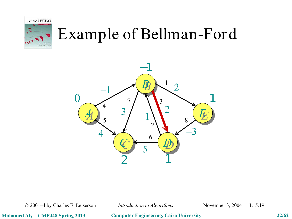



© 2001–4 by Charles E. Leiserson *Introduction to Algorithms* November 3, 2004 L15.19

**Mohamed Aly – CMP448 Spring 2013 Computer Engineering, Cairo University 22/62**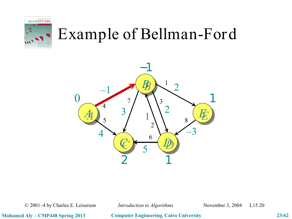



© 2001–4 by Charles E. Leiserson *Introduction to Algorithms* November 3, 2004 L15.20

**Mohamed Aly – CMP448 Spring 2013 Computer Engineering, Cairo University 23/62**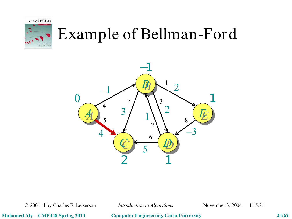



© 2001–4 by Charles E. Leiserson *Introduction to Algorithms* November 3, 2004 L15.21

**Mohamed Aly – CMP448 Spring 2013 Computer Engineering, Cairo University 24/62**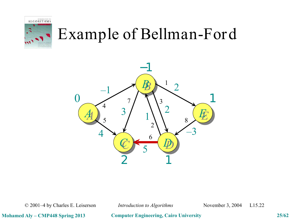



© 2001–4 by Charles E. Leiserson *Introduction to Algorithms* November 3, 2004 L15.22

**Mohamed Aly – CMP448 Spring 2013 Computer Engineering, Cairo University 25/62**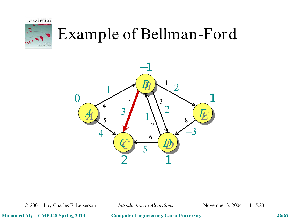



© 2001–4 by Charles E. Leiserson *Introduction to Algorithms* November 3, 2004 L15.23

**Mohamed Aly – CMP448 Spring 2013 Computer Engineering, Cairo University 26/62**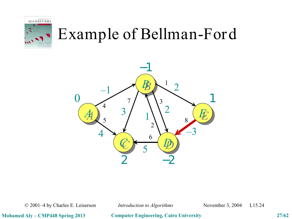



© 2001–4 by Charles E. Leiserson *Introduction to Algorithms* November 3, 2004 L15.24

**Mohamed Aly – CMP448 Spring 2013 Computer Engineering, Cairo University 27/62**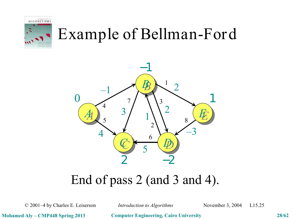



#### End of pass 2 (and 3 and 4).

© 2001–4 by Charles E. Leiserson *Introduction to Algorithms* November 3, 2004 L15.25

**Mohamed Aly – CMP448 Spring 2013 Computer Engineering, Cairo University 28/62**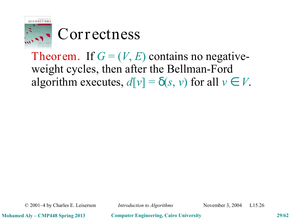

#### Correctness

Theorem. If  $G = (V, E)$  contains no negativeweight cycles, then after the Bellman-Ford algorithm executes,  $d[v] = \delta(s, v)$  for all  $v \in V$ .

© 2001–4 by Charles E. Leiserson *Introduction to Algorithms* November 3, 2004 L15.26

**Mohamed Aly – CMP448 Spring 2013 Computer Engineering, Cairo University 29/62**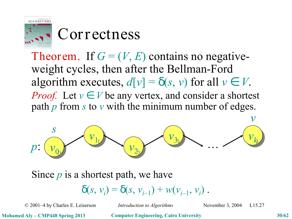

#### Correctness

Theorem. If  $G = (V, E)$  contains no negativeweight cycles, then after the Bellman-Ford algorithm executes,  $d[v] = \delta(s, v)$  for all  $v \in V$ . *Proof.* Let  $v \in V$  be any vertex, and consider a shortest path *p* from *s* to *v* with the minimum number of edges.



Since *p* is a shortest path, we have  $\delta(s, v_i) = \delta(s, v_{i-1}) + w(v_{i-1}, v_i)$ .

© 2001–4 by Charles E. Leiserson *Introduction to Algorithms* November 3, 2004 L15.27

**Mohamed Aly – CMP448 Spring 2013 Computer Engineering, Cairo University 30/62**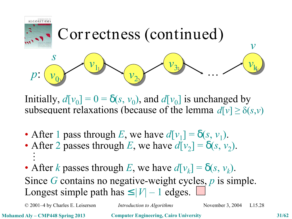

Initially,  $d[v_0] = 0 = \delta(s, v_0)$ , and  $d[v_0]$  is unchanged by subsequent relaxations (because of the lemma  $d[v] \ge \delta(s,v)$ 

- After 1 pass through *E*, we have  $d[v_1] = \delta(s, v_1)$ .
- After 2 passes through *E*, we have  $d[v_2] = \delta(s, v_2)$ .  $\ddot{\cdot}$
- After *k* passes through *E*, we have  $d[v_k] = \delta(s, v_k)$ . Since *G* contains no negative-weight cycles, *p* is simple. Longest simple path has  $\leq |V| - 1$  edges.

© 2001–4 by Charles E. Leiserson *Introduction to Algorithms* November 3, 2004 L15.28

**Mohamed Aly – CMP448 Spring 2013 Computer Engineering, Cairo University 31/62**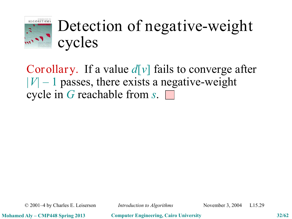

## Detection of negative-weight cycles

Corollary. If a value *d*[*v*] fails to converge after  $|V| - 1$  passes, there exists a negative-weight cycle in *G* reachable from *s*.

© 2001–4 by Charles E. Leiserson *Introduction to Algorithms* November 3, 2004 L15.29

**Mohamed Aly – CMP448 Spring 2013 Computer Engineering, Cairo University 32/62**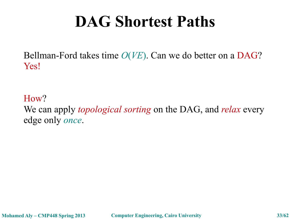Bellman-Ford takes time *O*(*VE*). Can we do better on a DAG? Yes!

How?

We can apply *topological sorting* on the DAG, and *relax* every edge only *once*.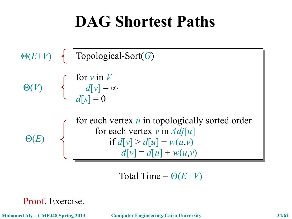$$
\Theta(E+V) \left\{\begin{array}{c}\text{Topological-Sort}(G) \\ \text{for } v \text{ in } V \\ d[v] = \infty \\ d[s] = 0 \end{array}\right.
$$
\n
$$
\Theta(E) \left\{\begin{array}{c}\text{for each vertex } u \text{ in topologically sorted order} \\ \text{for each vertex } v \text{ in } Adj[u] \\ \text{if } d[v] > d[u] + w(u,v) \\ d[v] = d[u] + w(u,v) \end{array}\right.
$$

Total Time =  $\Theta(E+V)$ 

Proof. Exercise.

**Mohamed Aly – CMP448 Spring 2013 Computer Engineering, Cairo University 34/62**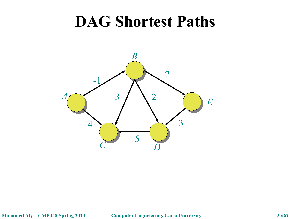

**Mohamed Aly – CMP448 Spring 2013 Computer Engineering, Cairo University 35/62**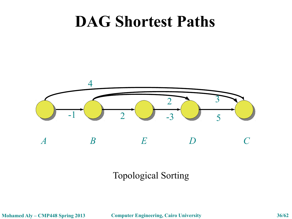

#### Topological Sorting

**Mohamed Aly – CMP448 Spring 2013 Computer Engineering, Cairo University 36/62**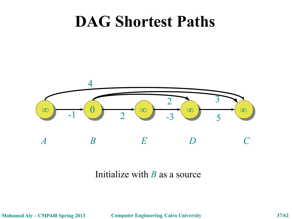

#### Initialize with *B* as a source

**Mohamed Aly – CMP448 Spring 2013 Computer Engineering, Cairo University 37/62**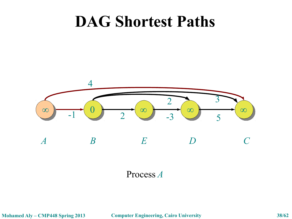

Process *A*

**Mohamed Aly – CMP448 Spring 2013 Computer Engineering, Cairo University 38/62**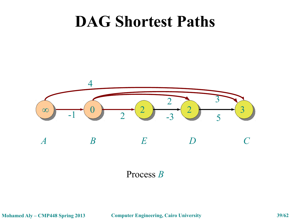

Process *B*

**Mohamed Aly – CMP448 Spring 2013 Computer Engineering, Cairo University 39/62**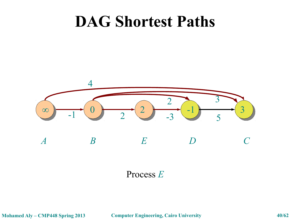

Process *E*

**Mohamed Aly – CMP448 Spring 2013 Computer Engineering, Cairo University 40/62**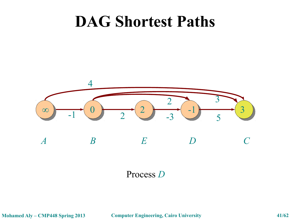

Process *D*

**Mohamed Aly – CMP448 Spring 2013 Computer Engineering, Cairo University 41/62**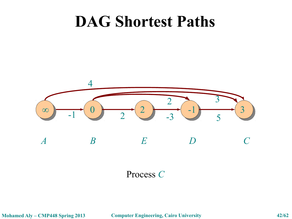

Process *C*

**Mohamed Aly – CMP448 Spring 2013 Computer Engineering, Cairo University 42/62**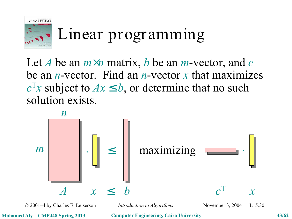

## Linear programming

Let *A* be an *m*×*n* matrix, *b* be an *m*-vector, and *c* be an *n*-vector. Find an *n*-vector *x* that maximizes  $c^{\mathrm{T}}x$  subject to  $Ax \leq b$ , or determine that no such solution exists.



© 2001–4 by Charles E. Leiserson *Introduction to Algorithms* November 3, 2004 L15.30

**Mohamed Aly – CMP448 Spring 2013 Computer Engineering, Cairo University 43/62**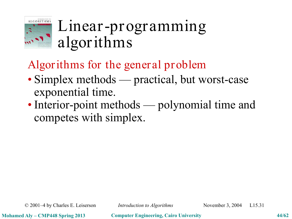

## Linear-programming algorithms

Algorithms for the general problem

- Simplex methods practical, but worst-case exponential time.
- Interior-point methods polynomial time and competes with simplex.

© 2001–4 by Charles E. Leiserson *Introduction to Algorithms* November 3, 2004 L15.31

**Mohamed Aly – CMP448 Spring 2013 Computer Engineering, Cairo University 44/62**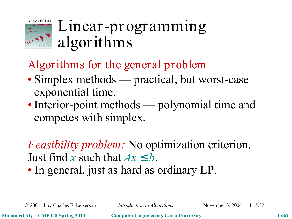

## Linear-programming algorithms

Algorithms for the general problem

- Simplex methods practical, but worst-case exponential time.
- Interior-point methods polynomial time and competes with simplex.

*Feasibility problem:* No optimization criterion. Just find *x* such that  $Ax \leq b$ .

• In general, just as hard as ordinary LP.

© 2001–4 by Charles E. Leiserson *Introduction to Algorithms* November 3, 2004 L15.32

**Mohamed Aly – CMP448 Spring 2013 Computer Engineering, Cairo University 45/62**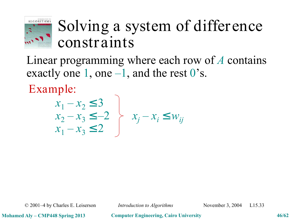

## Solving a system of differ ence constr aints

Linear programming where each row of *A* contains exactly one 1, one  $-1$ , and the rest 0's.

Example:

$$
\begin{array}{c}\n x_1 - x_2 \le 3 \\
x_2 - x_3 \le -2 \\
x_1 - x_3 \le 2\n\end{array}\n\bigg\}\n x_j - x_i \le w_{ij}
$$

© 2001–4 by Charles E. Leiserson *Introduction to Algorithms* November 3, 2004 L15.33

**Mohamed Aly – CMP448 Spring 2013 Computer Engineering, Cairo University 46/62**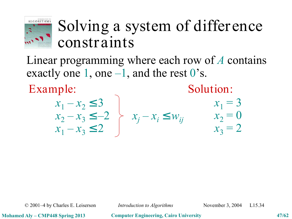

#### Solving a system of differ ence constr aints

Linear programming where each row of *A* contains exactly one 1, one  $-1$ , and the rest 0's.

Example:

Solution:

$$
\begin{array}{c}\n x_1 - x_2 \le 3 \\
x_2 - x_3 \le -2 \\
x_1 - x_3 \le 2\n\end{array}\n\bigg\}\n\quad\nx_j - x_i \le w_{ij}\n\quad\n\begin{array}{c}\n x_1 = 3 \\
x_2 = 0 \\
x_3 = 2\n\end{array}
$$

© 2001–4 by Charles E. Leiserson *Introduction to Algorithms* November 3, 2004 L15.34

**Mohamed Aly – CMP448 Spring 2013 Computer Engineering, Cairo University 47/62**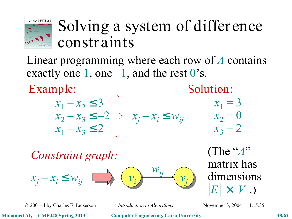

#### Solving a system of differ ence constr aints

Linear programming where each row of *A* contains exactly one 1, one  $-1$ , and the rest 0's.

Example:

Solution:

| $x_1 - x_2 \leq 3$ |                                                 |
|--------------------|-------------------------------------------------|
|                    | $x_2 - x_3 \le -2$ $\succ x_j - x_i \le w_{ij}$ |
| $x_1 - x_3 \le 2$  |                                                 |

$$
x_1 = 3
$$
  

$$
x_2 = 0
$$
  

$$
x_3 = 2
$$

*Constraint graph:*  $v_i$   $\longrightarrow v_j$  $v_i$  $x_i - x_i \leq w_{ij}$ *wij*

(The "*A*" matrix has dimensions  $|E| \times |V|$ .)

© 2001–4 by Charles E. Leiserson *Introduction to Algorithms* November 3, 2004 L15.35

**Mohamed Aly – CMP448 Spring 2013 Computer Engineering, Cairo University 48/62**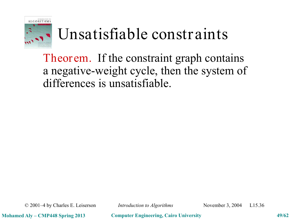

## Unsatisfiable constraints

Theorem. If the constraint graph contains a negative-weight cycle, then the system of differences is unsatisfiable.

© 2001–4 by Charles E. Leiserson *Introduction to Algorithms* November 3, 2004 L15.36

**Mohamed Aly – CMP448 Spring 2013 Computer Engineering, Cairo University 49/62**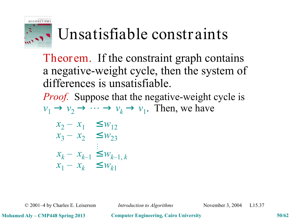

## Unsatisfiable constraints

Theor em. If the constraint graph contains a negative-weight cycle, then the system of differences is unsatisfiable.

*Proof.* Suppose that the negative-weight cycle is  $v_1 \rightarrow v_2 \rightarrow \cdots \rightarrow v_k \rightarrow v_1$ . Then, we have

$$
x_2 - x_1 \le w_{12}
$$
  
\n
$$
x_3 - x_2 \le w_{23}
$$
  
\n
$$
\vdots
$$
  
\n
$$
x_k - x_{k-1} \le w_{k-1, k}
$$
  
\n
$$
x_1 - x_k \le w_{k1}
$$

© 2001–4 by Charles E. Leiserson *Introduction to Algorithms* November 3, 2004 L15.37

**Mohamed Aly – CMP448 Spring 2013 Computer Engineering, Cairo University 50/62**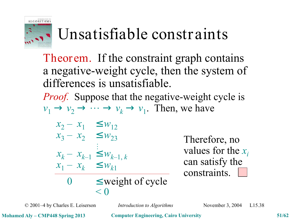

## Unsatisfiable constraints

Theor em. If the constraint graph contains a negative-weight cycle, then the system of differences is unsatisfiable.

*Proof.* Suppose that the negative-weight cycle is  $v_1 \rightarrow v_2 \rightarrow \cdots \rightarrow v_k \rightarrow v_1$ . Then, we have

$$
x_2 - x_1 \leq w_{12}
$$
  
\n
$$
x_3 - x_2 \leq w_{23}
$$
  
\n
$$
x_k - x_{k-1} \leq w_{k-1,k}
$$
  
\n
$$
x_1 - x_k \leq w_{k1}
$$
  
\n0 
$$
\leq \text{weight of cycle}
$$
  
\n
$$
< 0
$$

Therefore, no values for the *x<sup>i</sup>* can satisfy the constraints.

© 2001–4 by Charles E. Leiserson *Introduction to Algorithms* November 3, 2004 L15.38

**Mohamed Aly – CMP448 Spring 2013 Computer Engineering, Cairo University 51/62**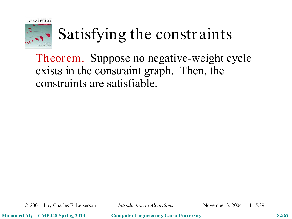

# Satisfying the constraints

Theor em. Suppose no negative-weight cycle exists in the constraint graph. Then, the constraints are satisfiable.

© 2001–4 by Charles E. Leiserson *Introduction to Algorithms* November 3, 2004 L15.39

**Mohamed Aly – CMP448 Spring 2013 Computer Engineering, Cairo University 52/62**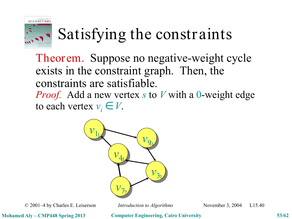

# Satisfying the constraints

Theor em. Suppose no negative-weight cycle exists in the constraint graph. Then, the constraints are satisfiable. *Proof.* Add a new vertex *s* to *V* with a 0-weight edge to each vertex  $v_i \in V$ .



© 2001–4 by Charles E. Leiserson *Introduction to Algorithms* November 3, 2004 L15.40

**Mohamed Aly – CMP448 Spring 2013 Computer Engineering, Cairo University 53/62**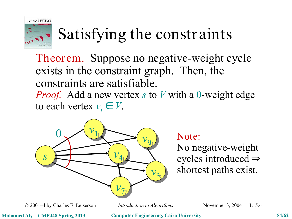

# Satisfying the constraints

Theor em. Suppose no negative-weight cycle exists in the constraint graph. Then, the constraints are satisfiable. *Proof.* Add a new vertex *s* to *V* with a 0-weight edge to each vertex  $v_i \in V$ .



No negative-weight cycles introduced ⇒ shortest paths exist.

© 2001–4 by Charles E. Leiserson *Introduction to Algorithms* November 3, 2004 L15.41

**Mohamed Aly – CMP448 Spring 2013 Computer Engineering, Cairo University 54/62**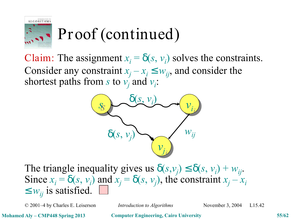

## Proof (continued)

Claim: The assignment  $x_i = \delta(s, v_i)$  solves the constraints. Consider any constraint  $x_j - x_i \leq w_{ij}$ , and consider the shortest paths from *s* to  $v_j$  and  $v_i$ :



The triangle inequality gives us  $\delta(s, v_j) \leq \delta(s, v_i) + w_{ij}$ . Since  $x_i = \delta(s, v_i)$  and  $x_j = \delta(s, v_j)$ , the constraint  $x_j - x_i$  $\leq w_{ij}$  is satisfied.

© 2001–4 by Charles E. Leiserson *Introduction to Algorithms* November 3, 2004 L15.42

**Mohamed Aly – CMP448 Spring 2013 Computer Engineering, Cairo University 55/62**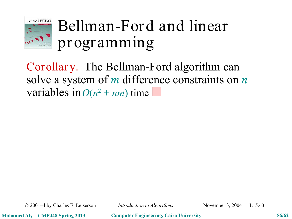

## Bellman-Ford and linear progr amming

Corollary. The Bellman-Ford algorithm can solve a system of *m* difference constraints on *n* variables in  $O(n^2 + nm)$  time.

© 2001–4 by Charles E. Leiserson *Introduction to Algorithms* November 3, 2004 L15.43

**Mohamed Aly – CMP448 Spring 2013 Computer Engineering, Cairo University 56/62**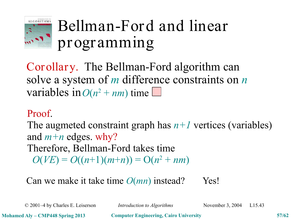

## Bellman-Ford and linear progr amming

Corollary. The Bellman-Ford algorithm can solve a system of *m* difference constraints on *n* variables in  $O(n^2 + nm)$  time.

#### $$ Proof.

The augm and  $m+n$  edges. why? Therefore, Bellman-Ford takes time  $O(VE) = O((n+1)(m+n)) = O(n^2 + nm)$ The augmeted constraint graph has  $n+1$  vertices (variables)

Can we make it take time *O*(*mn*) instead? Yes!  $$ 

© 2001–4 by Charles E. Leiserson *Introduction to Algorithms* November 3, 2004 L15.43

**Mohamed Aly – CMP448 Spring 2013 Computer Engineering, Cairo University 57/62**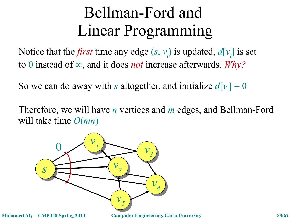## Bellman-Ford and Linear Programming

Notice that the *first* time any edge  $(s, v_i)$  is updated,  $d[v_i]$  is set to 0 instead of ∞, and it does *not* increase afterwards. *Why?*

So we can do away with *s* altogether, and initialize  $d[v_i] = 0$ 

Therefore, we will have *n* vertices and *m* edges, and Bellman-Ford will take time *O*(*mn*)



**Mohamed Aly – CMP448 Spring 2013 Computer Engineering, Cairo University 58/62**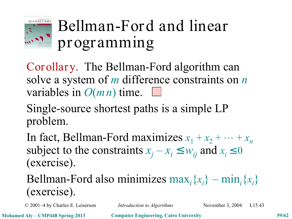

## Bellman-Ford and linear progr amming

Corollary. The Bellman-Ford algorithm can solve a system of *m* difference constraints on *n* variables in *O*(*mn*) time.

Single-source shortest paths is a simple LP problem.

In fact, Bellman-Ford maximizes  $x_1 + x_2 + \cdots + x_n$ subject to the constraints  $x_j - x_i \leq w_{ij}$  and  $x_i \leq 0$ (exercise).

Bellman-Ford also minimizes  $\max_i \{x_i\} - \min_i \{x_i\}$ (exercise).

© 2001–4 by Charles E. Leiserson *Introduction to Algorithms* November 3, 2004 L15.43

**Mohamed Aly – CMP448 Spring 2013 Computer Engineering, Cairo University 59/62**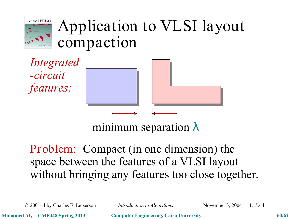

## Application to VLSI layout compaction

*Integrated -circuit features:*



#### Problem: Compact (in one dimension) the space between the features of a VLSI layout without bringing any features too close together.

© 2001–4 by Charles E. Leiserson *Introduction to Algorithms* November 3, 2004 L15.44

**Mohamed Aly – CMP448 Spring 2013 Computer Engineering, Cairo University 60/62**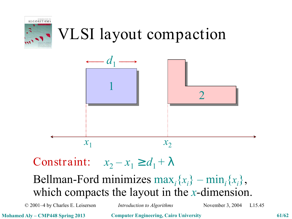

## VLSI layout compaction



Constraint:  $x_2 - x_1 \ge d_1 + \lambda$ 

Bellman-Ford minimizes  $\max_i \{x_i\} - \min_i \{x_i\},$ which compacts the layout in the *x*-dimension.

© 2001–4 by Charles E. Leiserson *Introduction to Algorithms* November 3, 2004 L15.45

**Mohamed Aly – CMP448 Spring 2013 Computer Engineering, Cairo University 61/62**